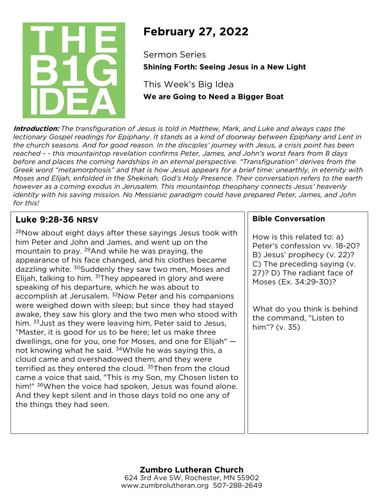

# **February 27, 2022**

Sermon Series **Shining Forth: Seeing Jesus in a New Light**

This Week's Big Idea **We are Going to Need a Bigger Boat**

**Introduction:** *The transfiguration of Jesus is told in Matthew, Mark, and Luke and always caps the lectionary Gospel readings for Epiphany. It stands as a kind of doorway between Epiphany and Lent in the church seasons. And for good reason. In the disciples' journey with Jesus, a crisis point has been reached - - this mountaintop revelation confirms Peter, James, and John's worst fears from 8 days before and places the coming hardships in an eternal perspective. "Transfiguration" derives from the Greek word "metamorphosis" and that is how Jesus appears for a brief time: unearthly, in eternity with Moses and Elijah, enfolded in the Shekinah, God's Holy Presence. Their conversation refers to the earth however as a coming exodus in Jerusalem. This mountaintop theophany connects Jesus' heavenly identity with his saving mission. No Messianic paradigm could have prepared Peter, James, and John for this!*

### **Luke 9:28-36 NRSV**

28Now about eight days after these sayings Jesus took with him Peter and John and James, and went up on the mountain to pray. 29And while he was praying, the appearance of his face changed, and his clothes became dazzling white. <sup>30</sup>Suddenly they saw two men, Moses and Elijah, talking to him.  $31$ They appeared in glory and were speaking of his departure, which he was about to accomplish at Jerusalem. <sup>32</sup>Now Peter and his companions were weighed down with sleep; but since they had stayed awake, they saw his glory and the two men who stood with him. <sup>33</sup> Just as they were leaving him, Peter said to Jesus, "Master, it is good for us to be here; let us make three dwellings, one for you, one for Moses, and one for Elijah" not knowing what he said. <sup>34</sup>While he was saying this, a cloud came and overshadowed them; and they were terrified as they entered the cloud.<sup>35</sup>Then from the cloud came a voice that said, "This is my Son, my Chosen listen to him!" <sup>36</sup>When the voice had spoken, Jesus was found alone. And they kept silent and in those days told no one any of the things they had seen.

#### **Bible Conversation**

How is this related to: a) Peter's confession vv. 18-20? B) Jesus' prophecy (v. 22)? C) The preceding saying (v. 27)? D) The radiant face of Moses (Ex. 34:29-30)?

What do you think is behind the command, "Listen to him"? (v. 35)